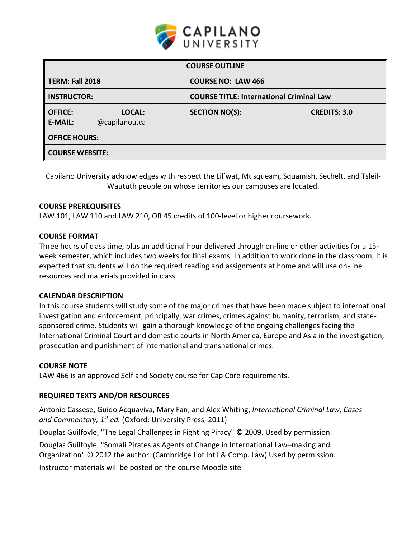

| <b>COURSE OUTLINE</b>            |                         |                           |                                                 |  |  |  |
|----------------------------------|-------------------------|---------------------------|-------------------------------------------------|--|--|--|
| TERM: Fall 2018                  |                         | <b>COURSE NO: LAW 466</b> |                                                 |  |  |  |
| <b>INSTRUCTOR:</b>               |                         |                           | <b>COURSE TITLE: International Criminal Law</b> |  |  |  |
| <b>OFFICE:</b><br><b>E-MAIL:</b> | LOCAL:<br>@capilanou.ca | <b>SECTION NO(S):</b>     | <b>CREDITS: 3.0</b>                             |  |  |  |
| <b>OFFICE HOURS:</b>             |                         |                           |                                                 |  |  |  |
| <b>COURSE WEBSITE:</b>           |                         |                           |                                                 |  |  |  |

Capilano University acknowledges with respect the Lil'wat, Musqueam, Squamish, Sechelt, and Tsleil-Waututh people on whose territories our campuses are located.

### **COURSE PREREQUISITES**

LAW 101, LAW 110 and LAW 210, OR 45 credits of 100-level or higher coursework.

#### **COURSE FORMAT**

Three hours of class time, plus an additional hour delivered through on-line or other activities for a 15 week semester, which includes two weeks for final exams. In addition to work done in the classroom, it is expected that students will do the required reading and assignments at home and will use on-line resources and materials provided in class.

#### **CALENDAR DESCRIPTION**

In this course students will study some of the major crimes that have been made subject to international investigation and enforcement; principally, war crimes, crimes against humanity, terrorism, and statesponsored crime. Students will gain a thorough knowledge of the ongoing challenges facing the International Criminal Court and domestic courts in North America, Europe and Asia in the investigation, prosecution and punishment of international and transnational crimes.

#### **COURSE NOTE**

LAW 466 is an approved Self and Society course for Cap Core requirements.

### **REQUIRED TEXTS AND/OR RESOURCES**

Antonio Cassese, Guido Acquaviva, Mary Fan, and Alex Whiting, *International Criminal Law, Cases and Commentary, 1st ed.* (Oxford: University Press, 2011)

Douglas Guilfoyle, "The Legal Challenges in Fighting Piracy" © 2009. Used by permission.

Douglas Guilfoyle, "Somali Pirates as Agents of Change in International Law–making and

Organization" © 2012 the author. (Cambridge J of Int'l & Comp. Law) Used by permission.

Instructor materials will be posted on the course Moodle site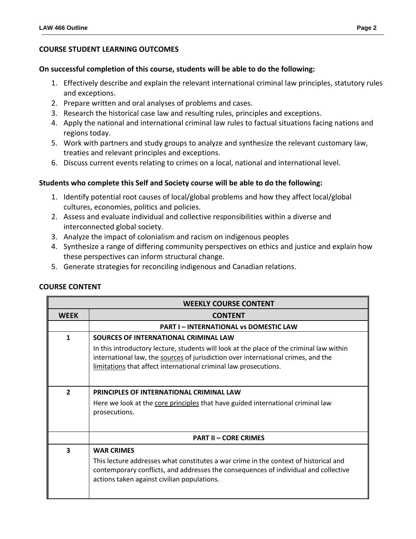### **COURSE STUDENT LEARNING OUTCOMES**

#### **On successful completion of this course, students will be able to do the following:**

- 1. Effectively describe and explain the relevant international criminal law principles, statutory rules and exceptions.
- 2. Prepare written and oral analyses of problems and cases.
- 3. Research the historical case law and resulting rules, principles and exceptions.
- 4. Apply the national and international criminal law rules to factual situations facing nations and regions today.
- 5. Work with partners and study groups to analyze and synthesize the relevant customary law, treaties and relevant principles and exceptions.
- 6. Discuss current events relating to crimes on a local, national and international level.

### **Students who complete this Self and Society course will be able to do the following:**

- 1. Identify potential root causes of local/global problems and how they affect local/global cultures, economies, politics and policies.
- 2. Assess and evaluate individual and collective responsibilities within a diverse and interconnected global society.
- 3. Analyze the impact of colonialism and racism on indigenous peoples
- 4. Synthesize a range of differing community perspectives on ethics and justice and explain how these perspectives can inform structural change.
- 5. Generate strategies for reconciling indigenous and Canadian relations.

| <b>WEEKLY COURSE CONTENT</b> |                                                                                                                                                                                                                                                   |  |  |  |  |
|------------------------------|---------------------------------------------------------------------------------------------------------------------------------------------------------------------------------------------------------------------------------------------------|--|--|--|--|
| <b>WEEK</b>                  | <b>CONTENT</b>                                                                                                                                                                                                                                    |  |  |  |  |
|                              | <b>PART I – INTERNATIONAL VS DOMESTIC LAW</b>                                                                                                                                                                                                     |  |  |  |  |
| 1                            | SOURCES OF INTERNATIONAL CRIMINAL LAW                                                                                                                                                                                                             |  |  |  |  |
|                              | In this introductory lecture, students will look at the place of the criminal law within<br>international law, the sources of jurisdiction over international crimes, and the<br>limitations that affect international criminal law prosecutions. |  |  |  |  |
| $\overline{\phantom{a}}$     | PRINCIPLES OF INTERNATIONAL CRIMINAL LAW                                                                                                                                                                                                          |  |  |  |  |
|                              | Here we look at the core principles that have guided international criminal law<br>prosecutions.                                                                                                                                                  |  |  |  |  |
|                              | <b>PART II - CORE CRIMES</b>                                                                                                                                                                                                                      |  |  |  |  |
| 3                            | <b>WAR CRIMES</b>                                                                                                                                                                                                                                 |  |  |  |  |
|                              | This lecture addresses what constitutes a war crime in the context of historical and<br>contemporary conflicts, and addresses the consequences of individual and collective<br>actions taken against civilian populations.                        |  |  |  |  |

## **COURSE CONTENT**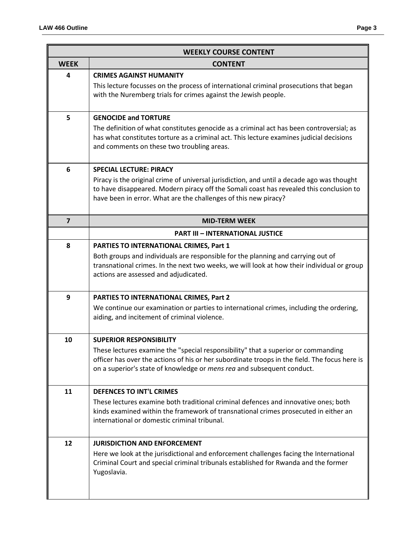| <b>WEEKLY COURSE CONTENT</b> |                                                                                                                                                                                                                                                                                                |  |  |  |
|------------------------------|------------------------------------------------------------------------------------------------------------------------------------------------------------------------------------------------------------------------------------------------------------------------------------------------|--|--|--|
| <b>WEEK</b>                  | <b>CONTENT</b>                                                                                                                                                                                                                                                                                 |  |  |  |
| 4                            | <b>CRIMES AGAINST HUMANITY</b><br>This lecture focusses on the process of international criminal prosecutions that began<br>with the Nuremberg trials for crimes against the Jewish people.                                                                                                    |  |  |  |
| 5                            | <b>GENOCIDE and TORTURE</b><br>The definition of what constitutes genocide as a criminal act has been controversial; as<br>has what constitutes torture as a criminal act. This lecture examines judicial decisions<br>and comments on these two troubling areas.                              |  |  |  |
| 6                            | <b>SPECIAL LECTURE: PIRACY</b><br>Piracy is the original crime of universal jurisdiction, and until a decade ago was thought<br>to have disappeared. Modern piracy off the Somali coast has revealed this conclusion to<br>have been in error. What are the challenges of this new piracy?     |  |  |  |
| $\overline{7}$               | <b>MID-TERM WEEK</b>                                                                                                                                                                                                                                                                           |  |  |  |
|                              | <b>PART III - INTERNATIONAL JUSTICE</b>                                                                                                                                                                                                                                                        |  |  |  |
| 8                            | PARTIES TO INTERNATIONAL CRIMES, Part 1<br>Both groups and individuals are responsible for the planning and carrying out of<br>transnational crimes. In the next two weeks, we will look at how their individual or group<br>actions are assessed and adjudicated.                             |  |  |  |
| 9                            | PARTIES TO INTERNATIONAL CRIMES, Part 2<br>We continue our examination or parties to international crimes, including the ordering,<br>aiding, and incitement of criminal violence.                                                                                                             |  |  |  |
| 10                           | <b>SUPERIOR RESPONSIBILITY</b><br>These lectures examine the "special responsibility" that a superior or commanding<br>officer has over the actions of his or her subordinate troops in the field. The focus here is<br>on a superior's state of knowledge or mens rea and subsequent conduct. |  |  |  |
| 11                           | <b>DEFENCES TO INT'L CRIMES</b><br>These lectures examine both traditional criminal defences and innovative ones; both<br>kinds examined within the framework of transnational crimes prosecuted in either an<br>international or domestic criminal tribunal.                                  |  |  |  |
| 12                           | <b>JURISDICTION AND ENFORCEMENT</b><br>Here we look at the jurisdictional and enforcement challenges facing the International<br>Criminal Court and special criminal tribunals established for Rwanda and the former<br>Yugoslavia.                                                            |  |  |  |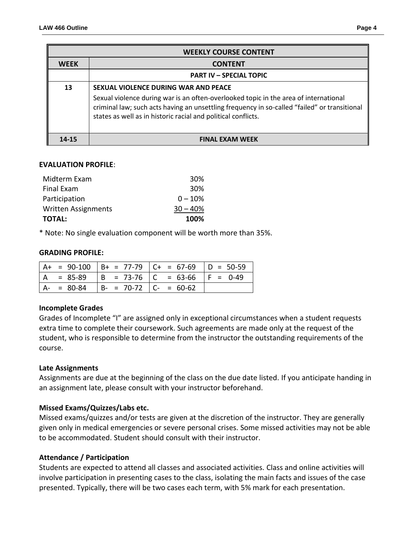| <b>WEEKLY COURSE CONTENT</b> |                                                                                                                                                                                                                                                                                               |  |  |  |  |
|------------------------------|-----------------------------------------------------------------------------------------------------------------------------------------------------------------------------------------------------------------------------------------------------------------------------------------------|--|--|--|--|
| <b>WFFK</b>                  | <b>CONTENT</b>                                                                                                                                                                                                                                                                                |  |  |  |  |
|                              | <b>PART IV - SPECIAL TOPIC</b>                                                                                                                                                                                                                                                                |  |  |  |  |
| 13                           | SEXUAL VIOLENCE DURING WAR AND PEACE<br>Sexual violence during war is an often-overlooked topic in the area of international<br>criminal law; such acts having an unsettling frequency in so-called "failed" or transitional<br>states as well as in historic racial and political conflicts. |  |  |  |  |
| $14 - 15$                    | <b>FINAL EXAM WEEK</b>                                                                                                                                                                                                                                                                        |  |  |  |  |

### **EVALUATION PROFILE**:

| <b>TOTAL:</b>              | 100%       |
|----------------------------|------------|
| <b>Written Assignments</b> | $30 - 40%$ |
| Participation              | $0 - 10%$  |
| <b>Final Exam</b>          | 30%        |
| Midterm Exam               | 30%        |

\* Note: No single evaluation component will be worth more than 35%.

#### **GRADING PROFILE:**

|           |                                       | $A+ = 90-100$ $B+ = 77-79$ $C+ = 67-69$ $D = 50-59$ |             |
|-----------|---------------------------------------|-----------------------------------------------------|-------------|
| $= 85-89$ | $ B = 73-76$   C = 63-66              |                                                     | $ F = 0.49$ |
| $= 80-84$ | $\vert$ B- = 70-72 $\vert$ C- = 60-62 |                                                     |             |

### **Incomplete Grades**

Grades of Incomplete "I" are assigned only in exceptional circumstances when a student requests extra time to complete their coursework. Such agreements are made only at the request of the student, who is responsible to determine from the instructor the outstanding requirements of the course.

### **Late Assignments**

Assignments are due at the beginning of the class on the due date listed. If you anticipate handing in an assignment late, please consult with your instructor beforehand.

### **Missed Exams/Quizzes/Labs etc.**

Missed exams/quizzes and/or tests are given at the discretion of the instructor. They are generally given only in medical emergencies or severe personal crises. Some missed activities may not be able to be accommodated. Student should consult with their instructor.

### **Attendance / Participation**

Students are expected to attend all classes and associated activities. Class and online activities will involve participation in presenting cases to the class, isolating the main facts and issues of the case presented. Typically, there will be two cases each term, with 5% mark for each presentation.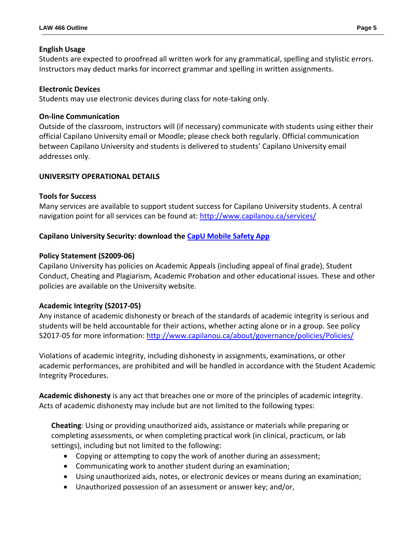## **English Usage**

Students are expected to proofread all written work for any grammatical, spelling and stylistic errors. Instructors may deduct marks for incorrect grammar and spelling in written assignments.

## **Electronic Devices**

Students may use electronic devices during class for note-taking only.

# **On-line Communication**

Outside of the classroom, instructors will (if necessary) communicate with students using either their official Capilano University email or Moodle; please check both regularly. Official communication between Capilano University and students is delivered to students' Capilano University email addresses only.

# **UNIVERSITY OPERATIONAL DETAILS**

# **Tools for Success**

Many services are available to support student success for Capilano University students. A central navigation point for all services can be found at:<http://www.capilanou.ca/services/>

# **Capilano University Security: download the [CapU Mobile Safety App](https://www.capilanou.ca/services/safety-security/CapU-Mobile-Safety-App/)**

# **Policy Statement (S2009-06)**

Capilano University has policies on Academic Appeals (including appeal of final grade), Student Conduct, Cheating and Plagiarism, Academic Probation and other educational issues. These and other policies are available on the University website.

# **Academic Integrity (S2017-05)**

Any instance of academic dishonesty or breach of the standards of academic integrity is serious and students will be held accountable for their actions, whether acting alone or in a group. See policy S2017-05 for more information: <http://www.capilanou.ca/about/governance/policies/Policies/>

Violations of academic integrity, including dishonesty in assignments, examinations, or other academic performances, are prohibited and will be handled in accordance with the Student Academic Integrity Procedures.

**Academic dishonesty** is any act that breaches one or more of the principles of academic integrity. Acts of academic dishonesty may include but are not limited to the following types:

**Cheating**: Using or providing unauthorized aids, assistance or materials while preparing or completing assessments, or when completing practical work (in clinical, practicum, or lab settings), including but not limited to the following:

- Copying or attempting to copy the work of another during an assessment;
- Communicating work to another student during an examination;
- Using unauthorized aids, notes, or electronic devices or means during an examination;
- Unauthorized possession of an assessment or answer key; and/or,